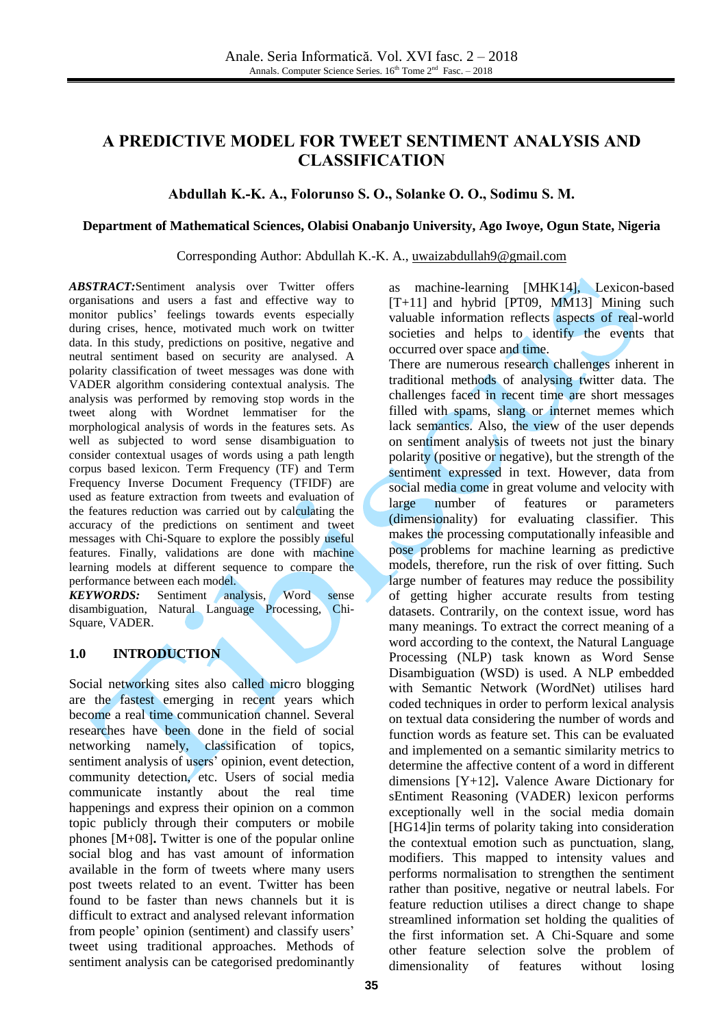# **A PREDICTIVE MODEL FOR TWEET SENTIMENT ANALYSIS AND CLASSIFICATION**

#### **Abdullah K.-K. A., Folorunso S. O., Solanke O. O., Sodimu S. M.**

#### **Department of Mathematical Sciences, Olabisi Onabanjo University, Ago Iwoye, Ogun State, Nigeria**

#### Corresponding Author: Abdullah K.-K. A., [uwaizabdullah9@gmail.com](mailto:uwaizabdullah9@gmail.com)

*ABSTRACT:*Sentiment analysis over Twitter offers organisations and users a fast and effective way to monitor publics' feelings towards events especially during crises, hence, motivated much work on twitter data. In this study, predictions on positive, negative and neutral sentiment based on security are analysed. A polarity classification of tweet messages was done with VADER algorithm considering contextual analysis. The analysis was performed by removing stop words in the tweet along with Wordnet lemmatiser for the morphological analysis of words in the features sets. As well as subjected to word sense disambiguation to consider contextual usages of words using a path length corpus based lexicon. Term Frequency (TF) and Term Frequency Inverse Document Frequency (TFIDF) are used as feature extraction from tweets and evaluation of the features reduction was carried out by calculating the accuracy of the predictions on sentiment and tweet messages with Chi-Square to explore the possibly useful features. Finally, validations are done with machine learning models at different sequence to compare the performance between each model.

*KEYWORDS:* Sentiment analysis, Word sense disambiguation, Natural Language Processing, Chi-Square, VADER.

#### **1.0 INTRODUCTION**

Social networking sites also called micro blogging are the fastest emerging in recent years which become a real time communication channel. Several researches have been done in the field of social networking namely, classification of topics, sentiment analysis of users' opinion, event detection, community detection, etc. Users of social media communicate instantly about the real time happenings and express their opinion on a common topic publicly through their computers or mobile phones [M+08]**.** Twitter is one of the popular online social blog and has vast amount of information available in the form of tweets where many users post tweets related to an event. Twitter has been found to be faster than news channels but it is difficult to extract and analysed relevant information from people' opinion (sentiment) and classify users' tweet using traditional approaches. Methods of sentiment analysis can be categorised predominantly

as machine-learning [MHK14], Lexicon-based  $[T+11]$  and hybrid [PT09, MM13] Mining such valuable information reflects aspects of real-world societies and helps to identify the events that occurred over space and time.

There are numerous research challenges inherent in traditional methods of analysing twitter data. The challenges faced in recent time are short messages filled with spams, slang or internet memes which lack semantics. Also, the view of the user depends on sentiment analysis of tweets not just the binary polarity (positive or negative), but the strength of the sentiment expressed in text. However, data from social media come in great volume and velocity with large number of features or parameters (dimensionality) for evaluating classifier. This makes the processing computationally infeasible and pose problems for machine learning as predictive models, therefore, run the risk of over fitting. Such large number of features may reduce the possibility of getting higher accurate results from testing datasets. Contrarily, on the context issue, word has many meanings. To extract the correct meaning of a word according to the context, the Natural Language Processing (NLP) task known as Word Sense Disambiguation (WSD) is used. A NLP embedded with Semantic Network (WordNet) utilises hard coded techniques in order to perform lexical analysis on textual data considering the number of words and function words as feature set. This can be evaluated and implemented on a semantic similarity metrics to determine the affective content of a word in different dimensions [Y+12]**.** Valence Aware Dictionary for sEntiment Reasoning (VADER) lexicon performs exceptionally well in the social media domain [HG14]in terms of polarity taking into consideration the contextual emotion such as punctuation, slang, modifiers. This mapped to intensity values and performs normalisation to strengthen the sentiment rather than positive, negative or neutral labels. For feature reduction utilises a direct change to shape streamlined information set holding the qualities of the first information set. A Chi-Square and some other feature selection solve the problem of dimensionality of features without losing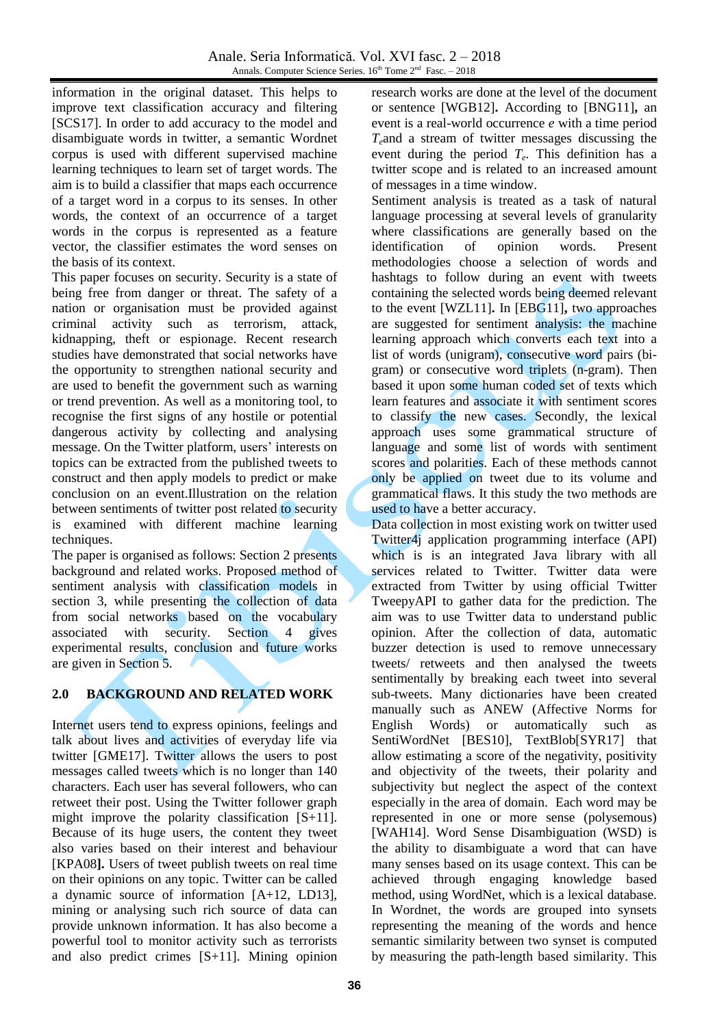information in the original dataset. This helps to improve text classification accuracy and filtering [SCS17]. In order to add accuracy to the model and disambiguate words in twitter, a semantic Wordnet corpus is used with different supervised machine learning techniques to learn set of target words. The aim is to build a classifier that maps each occurrence of a target word in a corpus to its senses. In other words, the context of an occurrence of a target words in the corpus is represented as a feature vector, the classifier estimates the word senses on the basis of its context.

This paper focuses on security. Security is a state of being free from danger or threat. The safety of a nation or organisation must be provided against criminal activity such as terrorism, attack, kidnapping, theft or espionage. Recent research studies have demonstrated that social networks have the opportunity to strengthen national security and are used to benefit the government such as warning or trend prevention. As well as a monitoring tool, to recognise the first signs of any hostile or potential dangerous activity by collecting and analysing message. On the Twitter platform, users' interests on topics can be extracted from the published tweets to construct and then apply models to predict or make conclusion on an event.Illustration on the relation between sentiments of twitter post related to security is examined with different machine learning techniques.

The paper is organised as follows: Section 2 presents background and related works. Proposed method of sentiment analysis with classification models in section 3, while presenting the collection of data from social networks based on the vocabulary associated with security. Section 4 gives experimental results, conclusion and future works are given in Section 5.

## **2.0 BACKGROUND AND RELATED WORK**

Internet users tend to express opinions, feelings and talk about lives and activities of everyday life via twitter [GME17]. Twitter allows the users to post messages called tweets which is no longer than 140 characters. Each user has several followers, who can retweet their post. Using the Twitter follower graph might improve the polarity classification [S+11]. Because of its huge users, the content they tweet also varies based on their interest and behaviour [KPA08**].** Users of tweet publish tweets on real time on their opinions on any topic. Twitter can be called a dynamic source of information [A+12, LD13], mining or analysing such rich source of data can provide unknown information. It has also become a powerful tool to monitor activity such as terrorists and also predict crimes [S+11]. Mining opinion

research works are done at the level of the document or sentence [WGB12]**.** According to [BNG11]**,** an event is a real-world occurrence *e* with a time period  $T_e$ and a stream of twitter messages discussing the event during the period *T<sup>e</sup>* . This definition has a twitter scope and is related to an increased amount of messages in a time window.

Sentiment analysis is treated as a task of natural language processing at several levels of granularity where classifications are generally based on the identification of opinion words. Present methodologies choose a selection of words and hashtags to follow during an event with tweets containing the selected words being deemed relevant to the event [WZL11]**.** In [EBG11]**,** two approaches are suggested for sentiment analysis: the machine learning approach which converts each text into a list of words (unigram), consecutive word pairs (bigram) or consecutive word triplets (n-gram). Then based it upon some human coded set of texts which learn features and associate it with sentiment scores to classify the new cases. Secondly, the lexical approach uses some grammatical structure of language and some list of words with sentiment scores and polarities. Each of these methods cannot only be applied on tweet due to its volume and grammatical flaws. It this study the two methods are used to have a better accuracy.

Data collection in most existing work on twitter used Twitter4j application programming interface (API) which is is an integrated Java library with all services related to Twitter. Twitter data were extracted from Twitter by using official Twitter TweepyAPI to gather data for the prediction. The aim was to use Twitter data to understand public opinion. After the collection of data, automatic buzzer detection is used to remove unnecessary tweets/ retweets and then analysed the tweets sentimentally by breaking each tweet into several sub-tweets. Many dictionaries have been created manually such as ANEW (Affective Norms for English Words) or automatically such as SentiWordNet [BES10], TextBlob[SYR17] that allow estimating a score of the negativity, positivity and objectivity of the tweets, their polarity and subjectivity but neglect the aspect of the context especially in the area of domain. Each word may be represented in one or more sense (polysemous) [WAH14]. Word Sense Disambiguation (WSD) is the ability to disambiguate a word that can have many senses based on its usage context. This can be achieved through engaging knowledge based method, using WordNet, which is a lexical database. In Wordnet, the words are grouped into synsets representing the meaning of the words and hence semantic similarity between two synset is computed by measuring the path-length based similarity. This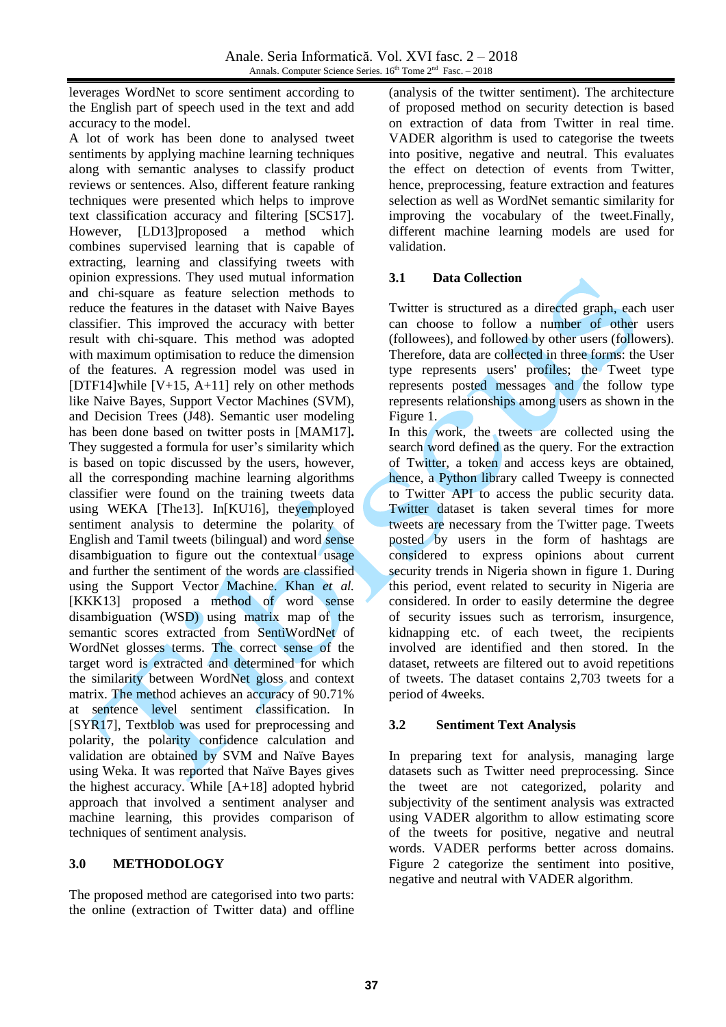leverages WordNet to score sentiment according to the English part of speech used in the text and add accuracy to the model.

A lot of work has been done to analysed tweet sentiments by applying machine learning techniques along with semantic analyses to classify product reviews or sentences. Also, different feature ranking techniques were presented which helps to improve text classification accuracy and filtering [SCS17]. However, [LD13]proposed a method which combines supervised learning that is capable of extracting, learning and classifying tweets with opinion expressions. They used mutual information and chi-square as feature selection methods to reduce the features in the dataset with Naive Bayes classifier. This improved the accuracy with better result with chi-square. This method was adopted with maximum optimisation to reduce the dimension of the features. A regression model was used in [DTF14]while  $[V+15, A+11]$  rely on other methods like Naive Bayes, Support Vector Machines (SVM), and Decision Trees (J48). Semantic user modeling has been done based on twitter posts in [MAM17]**.** They suggested a formula for user's similarity which is based on topic discussed by the users, however, all the corresponding machine learning algorithms classifier were found on the training tweets data using WEKA [The13]. In[KU16], theyemployed sentiment analysis to determine the polarity of English and Tamil tweets (bilingual) and word sense disambiguation to figure out the contextual usage and further the sentiment of the words are classified using the Support Vector Machine. Khan *et al.* [KKK13] proposed a method of word sense disambiguation (WSD) using matrix map of the semantic scores extracted from SentiWordNet of WordNet glosses terms. The correct sense of the target word is extracted and determined for which the similarity between WordNet gloss and context matrix. The method achieves an accuracy of 90.71% at sentence level sentiment classification. In [SYR17], Textblob was used for preprocessing and polarity, the polarity confidence calculation and validation are obtained by SVM and Naïve Bayes using Weka. It was reported that Naïve Bayes gives the highest accuracy. While [A+18] adopted hybrid approach that involved a sentiment analyser and machine learning, this provides comparison of techniques of sentiment analysis.

## **3.0 METHODOLOGY**

The proposed method are categorised into two parts: the online (extraction of Twitter data) and offline

(analysis of the twitter sentiment). The architecture of proposed method on security detection is based on extraction of data from Twitter in real time. VADER algorithm is used to categorise the tweets into positive, negative and neutral. This evaluates the effect on detection of events from Twitter, hence, preprocessing, feature extraction and features selection as well as WordNet semantic similarity for improving the vocabulary of the tweet.Finally, different machine learning models are used for validation.

## **3.1 Data Collection**

Twitter is structured as a directed graph, each user can choose to follow a number of other users (followees), and followed by other users (followers). Therefore, data are collected in three forms: the User type represents users' profiles; the Tweet type represents posted messages and the follow type represents relationships among users as shown in the Figure 1.

In this work, the tweets are collected using the search word defined as the query. For the extraction of Twitter, a token and access keys are obtained, hence, a Python library called Tweepy is connected to Twitter API to access the public security data. Twitter dataset is taken several times for more tweets are necessary from the Twitter page. Tweets posted by users in the form of hashtags are considered to express opinions about current security trends in Nigeria shown in figure 1. During this period, event related to security in Nigeria are considered. In order to easily determine the degree of security issues such as terrorism, insurgence, kidnapping etc. of each tweet, the recipients involved are identified and then stored. In the dataset, retweets are filtered out to avoid repetitions of tweets. The dataset contains 2,703 tweets for a period of 4weeks.

## **3.2 Sentiment Text Analysis**

In preparing text for analysis, managing large datasets such as Twitter need preprocessing. Since the tweet are not categorized, polarity and subjectivity of the sentiment analysis was extracted using VADER algorithm to allow estimating score of the tweets for positive, negative and neutral words. VADER performs better across domains. Figure 2 categorize the sentiment into positive, negative and neutral with VADER algorithm.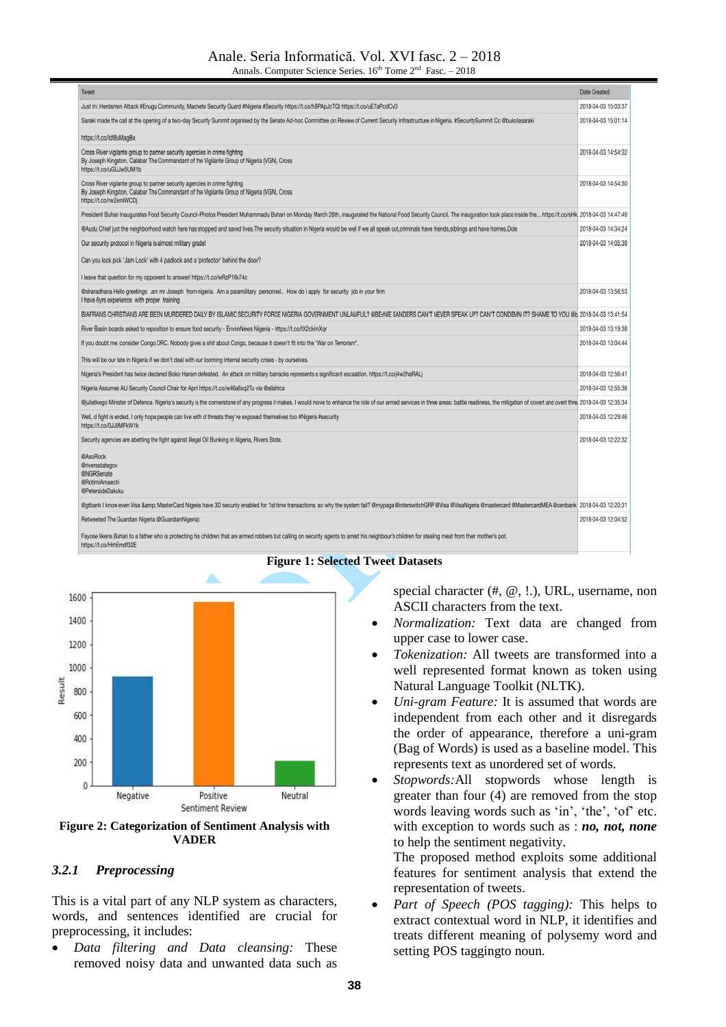#### Anale. Seria Informatică. Vol. XVI fasc. 2 – 2018 Annals. Computer Science Series.  $16<sup>th</sup>$  Tome  $2<sup>nd</sup>$  Fasc.  $-2018$

| Tweet                                                                                                                                                                                                                          | Date Created        |
|--------------------------------------------------------------------------------------------------------------------------------------------------------------------------------------------------------------------------------|---------------------|
| Just In: Herdsmen Attack #Enugu Community, Machete Security Guard #Nigeria #Security https://t.co/hBPApJcTQi https://t.co/uE7aPcdCvD                                                                                           | 2018-04-03 15:03:37 |
| Saraki made the call at the opening of a two-day Security Summit organised by the Senate Ad-hoc Committee on Review of Current Security Infrastructure in Nigeria. #SecuritySummit Cc @bukolasaraki                            | 2018-04-03 15:01:14 |
| https://t.co/ldf8uMagBx                                                                                                                                                                                                        |                     |
| Cross River vigilante group to partner security agencies in crime fighting<br>By Joseph Kingston, Calabar The Commandant of the Vigilante Group of Nigeria (VGN), Cross<br>https://t.co/uGUJw5UM1b                             | 2018-04-03 14:54:32 |
| Cross River vigilante group to partner security agencies in crime fighting<br>By Joseph Kingston, Calabar The Commandant of the Vigilante Group of Nigeria (VGN), Cross<br>https://t.co/rw2emIWCDj                             | 2018-04-03 14:54:30 |
| President Buhari Inaugurates Food Security Council-Photos President Muhammadu Buhari on Monday March 26th, inaugurated the National Food Security Council. The inauguration took place inside the  https://t.co/sHk 2018-04    |                     |
| @Audu Chief just the neighborhood watch here has stopped and saved lives. The security situation in Nigeria would be well if we all speak out, criminals have friends, siblings and have homes. Dole                           | 2018-04-03 14:34:24 |
| Our security protocol in Nigeria is almost military grade!                                                                                                                                                                     | 2018-04-03 14:05:38 |
| Can you lock pick 'Jam Lock' with 4 padlock and a 'protector' behind the door?                                                                                                                                                 |                     |
| I leave that question for my opponent to answer! https://t.co/wRzP16k74c                                                                                                                                                       |                     |
| @siraradhana Hello greetings .am mr Joseph from nigeria. Am a paramilitary personnel How do i apply for security job in your firm<br>I have 6yrs experience with proper training                                               | 2018-04-03 13:56:53 |
| BIAFRANS CHRISTIANS ARE BEEN MURDERED DAILY BY ISLAMIC SECURITY FORCE NIGERIA GOVERNMENT UNLAWFUL? @BE/NIE SANDERS CAN'T NEVER SPEAK UP? CAN'T CONDEMN IT? SHAME TO YOU @b 2018-04-03 13:41:54                                 |                     |
| River Basin boards asked to reposition to ensure food security - EnviroNews Nigeria - https://t.co/tX2ckimXgr                                                                                                                  | 2018-04-03 13:19:38 |
| If you doubt me, consider Congo DRC. Nobody gives a shit about Congo, because it doesn't fit into the "War on Terrorism".                                                                                                      | 2018-04-03 13:04:44 |
| This will be our fate in Nigeria if we don't deal with our looming internal security crises - by ourselves.                                                                                                                    |                     |
| Nigeria's President has twice declared Boko Haram defeated. An attack on military barracks represents a significant escalation. https://t.co/j4w2haRALj                                                                        | 2018-04-03 12:56:41 |
| Nigeria Assumes AU Security Council Chair for April https://t.co/w46a6xq2Tu via @allafrica                                                                                                                                     | 2018-04-03 12:55:38 |
| Gjulietkego Minister of Defence. Nigeria's security is the cornerstone of any progress it makes. I would move to enhance the role of our armed services in three areas: battle readiness, the mitigation of covert and overt t |                     |
| Well, d fight is ended. I only hope people can live with d threats they've exposed themselves too #Nigeria #security<br>https://t.co/0JJ0MFkW1k                                                                                | 2018-04-03 12:29:46 |
| Security agencies are abetting the fight against illegal Oil Bunking in Nigeria, Rivers State.                                                                                                                                 | 2018-04-03 12:22:32 |
| @AsoRock<br>Griversstategov<br><b>@NGRSenate</b><br>@RotimiAmaechi<br>@PetersideDakuku                                                                                                                                         |                     |
| @gtbank I know even Visa & MasterCard Nigeria have 3D security enabled for 1st time transactions, so why the system fal? @mypaga @interswitchGRP @Visa @VisaNigeria @mastercard @MastercardMEA @cenbank 2018-04-03 12:20:3     |                     |
| Retweeted The Guardian Nigeria (@GuardianNigeria):                                                                                                                                                                             | 2018-04-03 12:04:52 |
| Fayose likens Buhari to a father who is protecting his children that are armed robbers but calling on security agents to arrest his neighbour's children for stealing meat from their mother's pot.<br>https://t.co/HrhEmdf32E |                     |



**Figure 2: Categorization of Sentiment Analysis with VADER**

## *3.2.1 Preprocessing*

This is a vital part of any NLP system as characters, words, and sentences identified are crucial for preprocessing, it includes:

 *Data filtering and Data cleansing:* These removed noisy data and unwanted data such as

#### **Figure 1: Selected Tweet Datasets**

special character (#, @, !.), URL, username, non ASCII characters from the text.

- *Normalization:* Text data are changed from upper case to lower case.
- *Tokenization:* All tweets are transformed into a well represented format known as token using Natural Language Toolkit (NLTK).
- *Uni-gram Feature:* It is assumed that words are independent from each other and it disregards the order of appearance, therefore a uni-gram (Bag of Words) is used as a baseline model. This represents text as unordered set of words.
- *Stopwords:*All stopwords whose length is greater than four  $(4)$  are removed from the stop words leaving words such as 'in', 'the', 'of' etc. with exception to words such as : *no, not, none* to help the sentiment negativity.

The proposed method exploits some additional features for sentiment analysis that extend the representation of tweets.

 *Part of Speech (POS tagging):* This helps to extract contextual word in NLP, it identifies and treats different meaning of polysemy word and setting POS taggingto noun.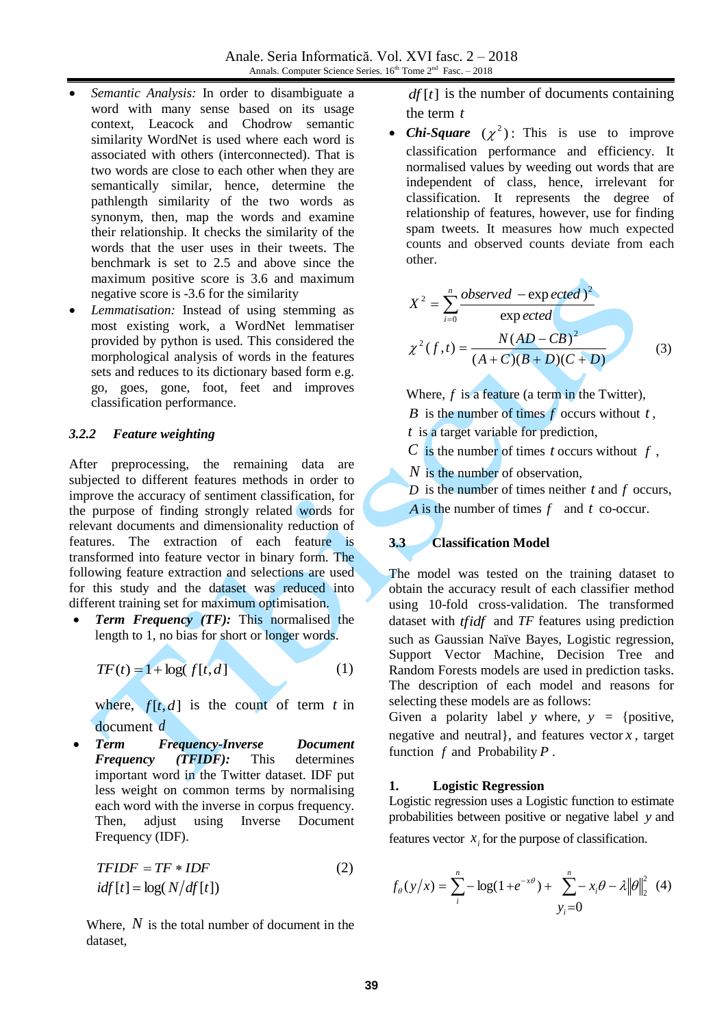- *Semantic Analysis:* In order to disambiguate a word with many sense based on its usage context, Leacock and Chodrow semantic similarity WordNet is used where each word is associated with others (interconnected). That is two words are close to each other when they are semantically similar, hence, determine the pathlength similarity of the two words as synonym, then, map the words and examine their relationship. It checks the similarity of the words that the user uses in their tweets. The benchmark is set to 2.5 and above since the maximum positive score is 3.6 and maximum negative score is -3.6 for the similarity
- *Lemmatisation:* Instead of using stemming as most existing work, a WordNet lemmatiser provided by python is used. This considered the morphological analysis of words in the features sets and reduces to its dictionary based form e.g. go, goes, gone, foot, feet and improves classification performance.

#### *3.2.2 Feature weighting*

After preprocessing, the remaining data are subjected to different features methods in order to improve the accuracy of sentiment classification, for the purpose of finding strongly related words for relevant documents and dimensionality reduction of features. The extraction of each feature is transformed into feature vector in binary form. The following feature extraction and selections are used for this study and the dataset was reduced into different training set for maximum optimisation.

 *Term Frequency (TF):* This normalised the length to 1, no bias for short or longer words.

$$
TF(t) = 1 + \log(f[t, d]) \tag{1}
$$

where,  $f[t,d]$  is the count of term t in document *d*

 *Term Frequency-Inverse Document Frequency (TFIDF):* This determines important word in the Twitter dataset. IDF put less weight on common terms by normalising each word with the inverse in corpus frequency. Then, adjust using Inverse Document Frequency (IDF).

$$
TFIDF = TF * IDF
$$
  

$$
idf[t] = log(N/df[t])
$$
 (2)

Where,  $N$  is the total number of document in the dataset,

*df* [*t*] is the number of documents containing the term *t*

• *Chi-Square*  $(\chi^2)$ : This is use to improve classification performance and efficiency. It normalised values by weeding out words that are independent of class, hence, irrelevant for classification. It represents the degree of relationship of features, however, use for finding spam tweets. It measures how much expected counts and observed counts deviate from each other.

$$
X^{2} = \sum_{i=0}^{n} \frac{observed - expected^{2}}{expected}
$$
  

$$
\chi^{2}(f,t) = \frac{N(AD - CB)^{2}}{(A + C)(B + D)(C + D)}
$$
(3)

Where,  $f$  is a feature (a term in the Twitter), *B* is the number of times  $f$  occurs without  $t$ , *t* is a target variable for prediction,

*C* is the number of times *t* occurs without *f* ,

*N* is the number of observation,

*D* is the number of times neither *t* and *f* occurs, *A* is the number of times *f* and *t* co-occur.

#### **3.3 Classification Model**

The model was tested on the training dataset to obtain the accuracy result of each classifier method using 10-fold cross-validation. The transformed dataset with *tfidf* and *TF* features using prediction such as Gaussian Naïve Bayes, Logistic regression, Support Vector Machine, Decision Tree and Random Forests models are used in prediction tasks. The description of each model and reasons for selecting these models are as follows:

Given a polarity label  $y$  where,  $y =$  {positive, negative and neutral}, and features vector *x* , target function *f* and Probability *P* .

#### **1. Logistic Regression**

Logistic regression uses a Logistic function to estimate probabilities between positive or negative label *y* and

features vector  $x_i$  for the purpose of classification.

$$
f_{\theta}(y/x) = \sum_{i}^{n} -\log(1 + e^{-x\theta}) + \sum_{i}^{n} -x_{i}\theta - \lambda \|\theta\|_{2}^{2} \quad (4)
$$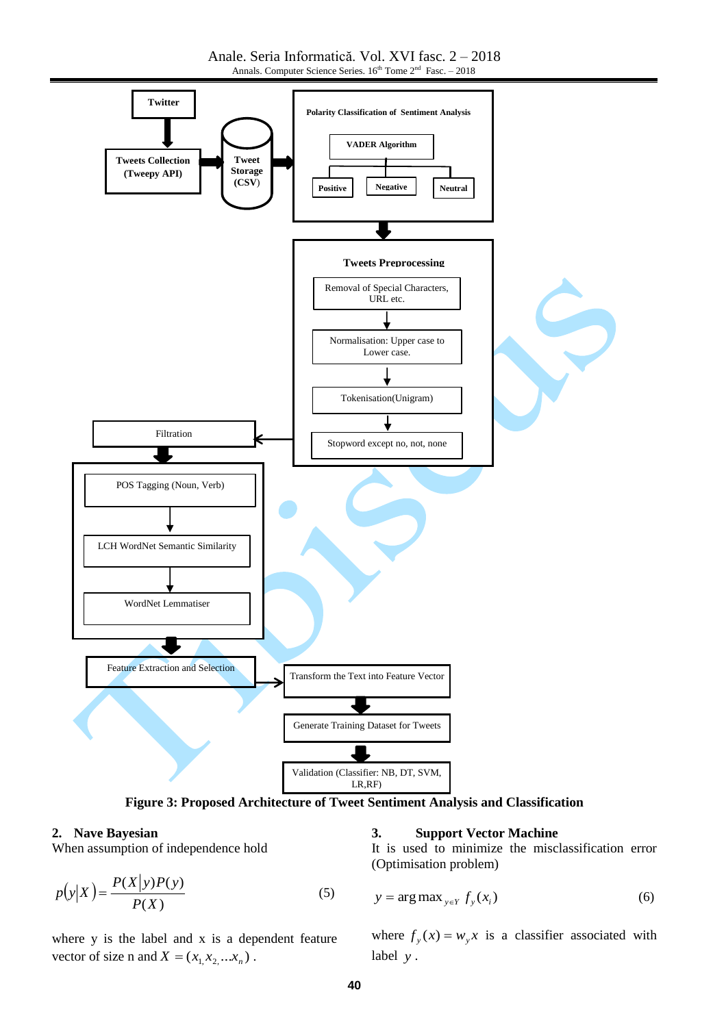Anale. Seria Informatică. Vol. XVI fasc. 2 – 2018 Annals. Computer Science Series.  $16<sup>th</sup>$  Tome  $2<sup>nd</sup>$  Fasc.  $-2018$ 



**Figure 3: Proposed Architecture of Tweet Sentiment Analysis and Classification**

#### **2. Nave Bayesian**

When assumption of independence hold

$$
p(y|X) = \frac{P(X|y)P(y)}{P(X)}
$$
\n(5)

where y is the label and x is a dependent feature vector of size n and  $X = (x_1, x_2, ... x_n)$ .

#### **3. Support Vector Machine**

It is used to minimize the misclassification error (Optimisation problem)

$$
y = \arg \max_{y \in Y} f_y(x_i) \tag{6}
$$

where  $f_y(x) = w_y x$  is a classifier associated with label *y* .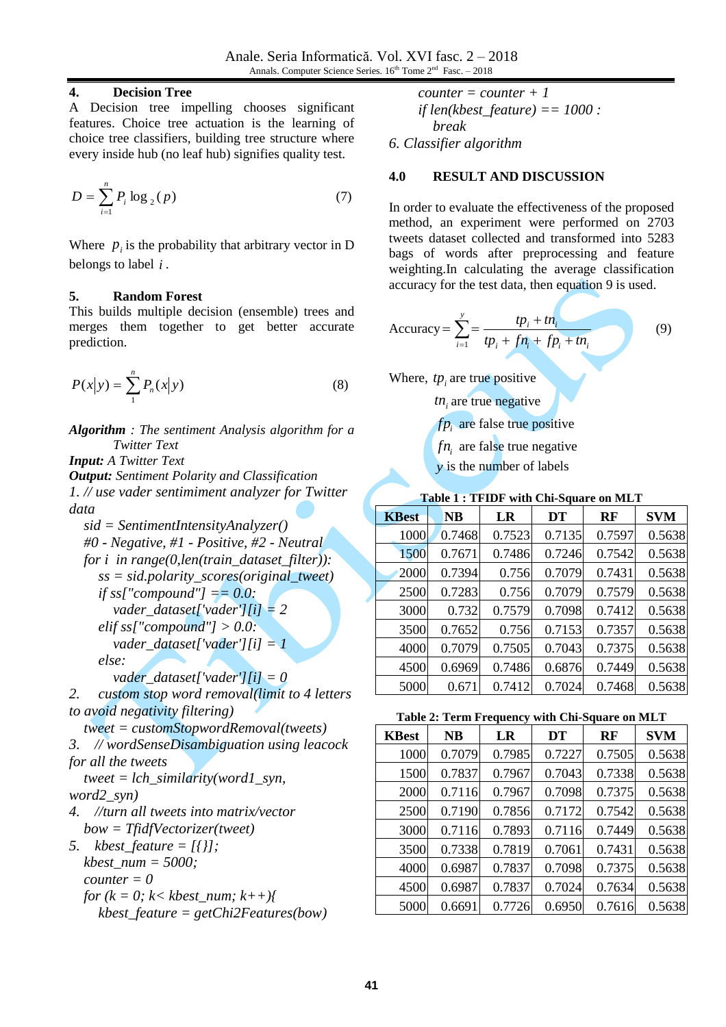### **4. Decision Tree**

A Decision tree impelling chooses significant features. Choice tree actuation is the learning of choice tree classifiers, building tree structure where every inside hub (no leaf hub) signifies quality test.

$$
D = \sum_{i=1}^{n} P_i \log_2(p) \tag{7}
$$

Where  $p_i$  is the probability that arbitrary vector in D belongs to label *i* .

### **5. Random Forest**

This builds multiple decision (ensemble) trees and merges them together to get better accurate prediction.

$$
P(x|y) = \sum_{1}^{n} P_n(x|y)
$$
 (8)

*Algorithm : The sentiment Analysis algorithm for a Twitter Text*

*Input: A Twitter Text Output: Sentiment Polarity and Classification 1. // use vader sentimiment analyzer for Twitter data*

*sid = SentimentIntensityAnalyzer() #0 - Negative, #1 - Positive, #2 - Neutral for i in range(0,len(train\_dataset\_filter)): ss = sid.polarity\_scores(original\_tweet) if ss["compound"] == 0.0: vader\_dataset['vader'][i] = 2 elif ss["compound"] > 0.0: vader\_dataset['vader'][i] = 1 else: vader\_dataset['vader'][i] = 0 2. custom stop word removal(limit to 4 letters*

*to avoid negativity filtering)*

*tweet = customStopwordRemoval(tweets)*

*3. // wordSenseDisambiguation using leacock for all the tweets*

*tweet = lch\_similarity(word1\_syn, word2\_syn)*

*4. //turn all tweets into matrix/vector bow = TfidfVectorizer(tweet)*

*5. kbest\_feature = [{}]; kbest\_num = 5000; counter*  $= 0$ *for*  $(k = 0; k < kbest\_num; k++)$ *kbest\_feature = getChi2Features(bow)*

$$
counter = counter + 1
$$
  
if len(kbest\_feature) == 1000 :  
break  
6. Classifier algorithm

#### **4.0 RESULT AND DISCUSSION**

In order to evaluate the effectiveness of the proposed method, an experiment were performed on 2703 tweets dataset collected and transformed into 5283 bags of words after preprocessing and feature weighting.In calculating the average classification accuracy for the test data, then equation 9 is used.

Accuracy = 
$$
\sum_{i=1}^{y}
$$
 =  $\frac{tp_i + tn_i}{tp_i + fn_i + fp_i + tn_i}$  (9)

Where,  $tp_i$  are true positive

*i tn* are true negative

*fp*<sub>*i*</sub> are false true positive

*i fn* are false true negative

*y* is the number of labels

| Table 1; IFIDF With Chi-Square on MLT |           |        |        |        |            |  |
|---------------------------------------|-----------|--------|--------|--------|------------|--|
| <b>KBest</b>                          | <b>NB</b> | LR     | DT     | RF     | <b>SVM</b> |  |
| 1000                                  | 0.7468    | 0.7523 | 0.7135 | 0.7597 | 0.5638     |  |
| 1500                                  | 0.7671    | 0.7486 | 0.7246 | 0.7542 | 0.5638     |  |
| 2000                                  | 0.7394    | 0.756  | 0.7079 | 0.7431 | 0.5638     |  |
| 2500                                  | 0.7283    | 0.756  | 0.7079 | 0.7579 | 0.5638     |  |
| 3000                                  | 0.732     | 0.7579 | 0.7098 | 0.7412 | 0.5638     |  |

 0.7652 0.756 0.7153 0.7357 0.5638 0.7079 0.7505 0.7043 0.7375 0.5638 0.6969 0.7486 0.6876 0.7449 0.5638 0.671 0.7412 0.7024 0.7468 0.5638

### **Table 1 : TFIDF with Chi-Square on MLT**

| Table 2: Term Frequency with Chi-Square on MLT |  |  |
|------------------------------------------------|--|--|
|------------------------------------------------|--|--|

| <b>KBest</b> | NB     | LR     | DT     | RF     | <b>SVM</b> |
|--------------|--------|--------|--------|--------|------------|
| 1000         | 0.7079 | 0.7985 | 0.7227 | 0.7505 | 0.5638     |
| 1500         | 0.7837 | 0.7967 | 0.7043 | 0.7338 | 0.5638     |
| 2000         | 0.7116 | 0.7967 | 0.7098 | 0.7375 | 0.5638     |
| 2500         | 0.7190 | 0.7856 | 0.7172 | 0.7542 | 0.5638     |
| 3000         | 0.7116 | 0.7893 | 0.7116 | 0.7449 | 0.5638     |
| 3500         | 0.7338 | 0.7819 | 0.7061 | 0.7431 | 0.5638     |
| 4000         | 0.6987 | 0.7837 | 0.7098 | 0.7375 | 0.5638     |
| 4500         | 0.6987 | 0.7837 | 0.7024 | 0.7634 | 0.5638     |
| 5000         | 0.6691 | 0.7726 | 0.6950 | 0.7616 | 0.5638     |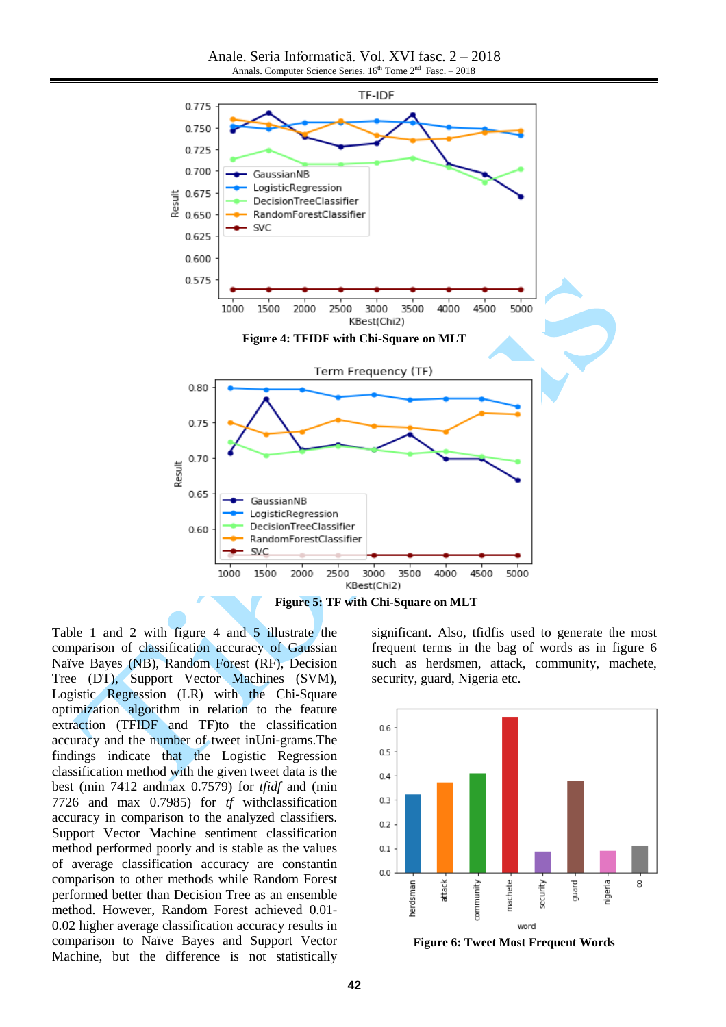Anale. Seria Informatică. Vol. XVI fasc. 2 – 2018 Annals. Computer Science Series.  $16<sup>th</sup>$  Tome  $2<sup>nd</sup>$  Fasc.  $-2018$ 



Table 1 and 2 with figure 4 and 5 illustrate the comparison of classification accuracy of Gaussian Naïve Bayes (NB), Random Forest (RF), Decision Tree (DT), Support Vector Machines (SVM), Logistic Regression (LR) with the Chi-Square optimization algorithm in relation to the feature extraction (TFIDF and TF)to the classification accuracy and the number of tweet inUni-grams.The findings indicate that the Logistic Regression classification method with the given tweet data is the best (min 7412 andmax 0.7579) for *tfidf* and (min 7726 and max 0.7985) for *tf* withclassification accuracy in comparison to the analyzed classifiers. Support Vector Machine sentiment classification method performed poorly and is stable as the values of average classification accuracy are constantin comparison to other methods while Random Forest performed better than Decision Tree as an ensemble method. However, Random Forest achieved 0.01- 0.02 higher average classification accuracy results in comparison to Naïve Bayes and Support Vector Machine, but the difference is not statistically significant. Also, tfidfis used to generate the most frequent terms in the bag of words as in figure 6 such as herdsmen, attack, community, machete, security, guard, Nigeria etc.



**Figure 6: Tweet Most Frequent Words**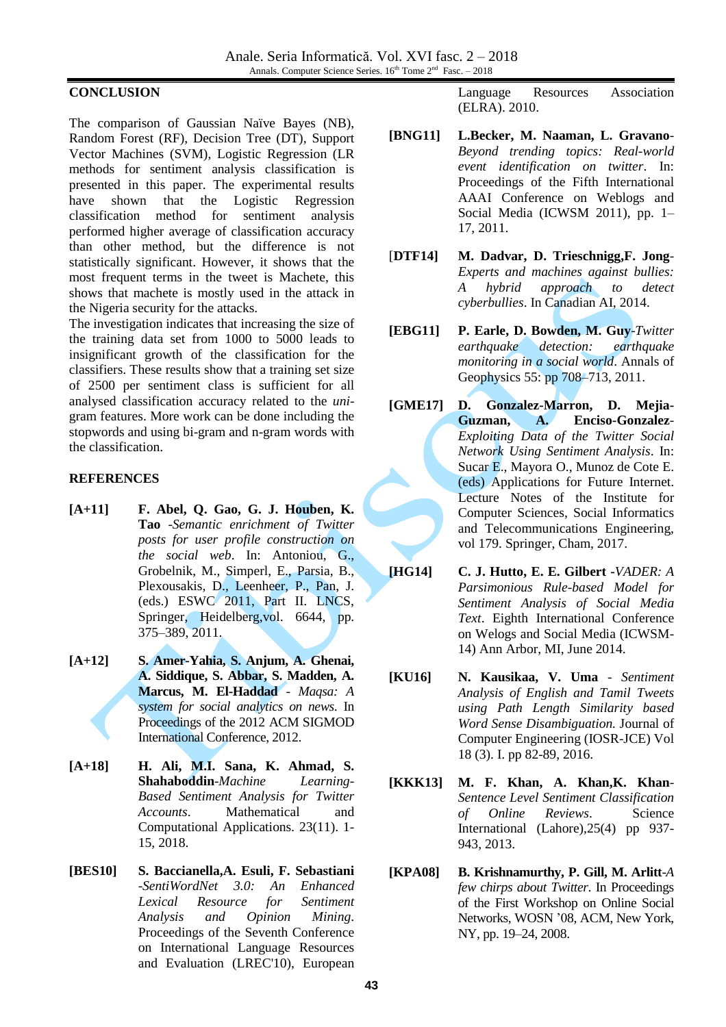#### **CONCLUSION**

The comparison of Gaussian Naïve Bayes (NB), Random Forest (RF), Decision Tree (DT), Support Vector Machines (SVM), Logistic Regression (LR methods for sentiment analysis classification is presented in this paper. The experimental results have shown that the Logistic Regression classification method for sentiment analysis performed higher average of classification accuracy than other method, but the difference is not statistically significant. However, it shows that the most frequent terms in the tweet is Machete, this shows that machete is mostly used in the attack in the Nigeria security for the attacks.

The investigation indicates that increasing the size of the training data set from 1000 to 5000 leads to insignificant growth of the classification for the classifiers. These results show that a training set size of 2500 per sentiment class is sufficient for all analysed classification accuracy related to the *uni*gram features. More work can be done including the stopwords and using bi-gram and n-gram words with the classification.

#### **REFERENCES**

- **[A+11] F. Abel, Q. Gao, G. J. Houben, K. Tao** -*Semantic enrichment of Twitter posts for user profile construction on the social web*. In: Antoniou, G., Grobelnik, M., Simperl, E., Parsia, B., Plexousakis, D., Leenheer, P., Pan, J. (eds.) ESWC 2011, Part II. LNCS, Springer, Heidelberg,vol. 6644, pp. 375–389, 2011.
- **[A+12] S. Amer-Yahia, S. Anjum, A. Ghenai, A. Siddique, S. Abbar, S. Madden, A. Marcus, M. El-Haddad** - *Maqsa: A system for social analytics on news*. In Proceedings of the 2012 ACM SIGMOD International Conference, 2012.
- **[A+18] H. Ali, M.I. Sana, K. Ahmad, S. Shahaboddin**-*Machine Learning-Based Sentiment Analysis for Twitter Accounts*. Mathematical and Computational Applications. 23(11). 1- 15, 2018.
- **[BES10] S. Baccianella,A. Esuli, F. Sebastiani** -*SentiWordNet 3.0: An Enhanced Lexical Resource for Sentiment Analysis and Opinion Mining*. Proceedings of the Seventh Conference on International Language Resources and Evaluation (LREC'10), European

Language Resources Association (ELRA). 2010.

- **[BNG11] L.Becker, M. Naaman, L. Gravano**-*Beyond trending topics: Real-world event identification on twitter*. In: Proceedings of the Fifth International AAAI Conference on Weblogs and Social Media (ICWSM 2011), pp. 1– 17, 2011.
- [**DTF14] M. Dadvar, D. Trieschnigg,F. Jong**-*Experts and machines against bullies: A hybrid approach to detect cyberbullies*. In Canadian AI, 2014.
- **[EBG11] P. Earle, D. Bowden, M. Guy**-*Twitter earthquake detection: earthquake monitoring in a social world*. Annals of Geophysics 55: pp 708–713, 2011.
- **[GME17] D. Gonzalez-Marron, D. Mejia-Guzman, A. Enciso-Gonzalez**-*Exploiting Data of the Twitter Social Network Using Sentiment Analysis*. In: Sucar E., Mayora O., Munoz de Cote E. (eds) Applications for Future Internet. Lecture Notes of the Institute for Computer Sciences, Social Informatics and Telecommunications Engineering, vol 179. Springer, Cham, 2017.
- **[HG14] C. J. Hutto, E. E. Gilbert -***VADER: A Parsimonious Rule-based Model for Sentiment Analysis of Social Media Text*. Eighth International Conference on Welogs and Social Media (ICWSM-14) Ann Arbor, MI, June 2014.
- **[KU16] N. Kausikaa, V. Uma** *- Sentiment Analysis of English and Tamil Tweets using Path Length Similarity based Word Sense Disambiguation.* Journal of Computer Engineering (IOSR-JCE) Vol 18 (3). I. pp 82-89, 2016.
- **[KKK13] M. F. Khan, A. Khan,K. Khan**-*Sentence Level Sentiment Classification of Online Reviews*. Science International (Lahore),25(4) pp 937- 943, 2013.
- **[KPA08] B. Krishnamurthy, P. Gill, M. Arlitt**-*A few chirps about Twitter*. In Proceedings of the First Workshop on Online Social Networks, WOSN '08, ACM, New York, NY, pp. 19–24, 2008.